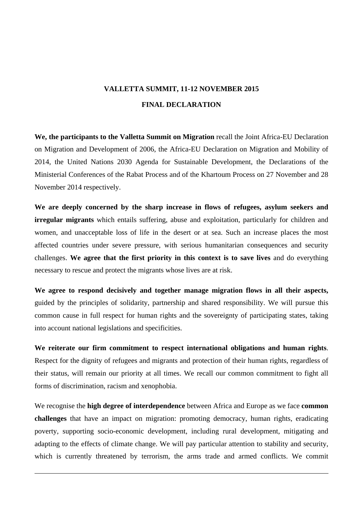## **VALLETTA SUMMIT, 11-12 NOVEMBER 2015 FINAL DECLARATION**

**We, the participants to the Valletta Summit on Migration** recall the Joint Africa-EU Declaration on Migration and Development of 2006, the Africa-EU Declaration on Migration and Mobility of 2014, the United Nations 2030 Agenda for Sustainable Development, the Declarations of the Ministerial Conferences of the Rabat Process and of the Khartoum Process on 27 November and 28 November 2014 respectively.

**We are deeply concerned by the sharp increase in flows of refugees, asylum seekers and irregular migrants** which entails suffering, abuse and exploitation, particularly for children and women, and unacceptable loss of life in the desert or at sea. Such an increase places the most affected countries under severe pressure, with serious humanitarian consequences and security challenges. **We agree that the first priority in this context is to save lives** and do everything necessary to rescue and protect the migrants whose lives are at risk.

**We agree to respond decisively and together manage migration flows in all their aspects,**  guided by the principles of solidarity, partnership and shared responsibility. We will pursue this common cause in full respect for human rights and the sovereignty of participating states, taking into account national legislations and specificities.

**We reiterate our firm commitment to respect international obligations and human rights**. Respect for the dignity of refugees and migrants and protection of their human rights, regardless of their status, will remain our priority at all times. We recall our common commitment to fight all forms of discrimination, racism and xenophobia.

We recognise the **high degree of interdependence** between Africa and Europe as we face **common challenges** that have an impact on migration: promoting democracy, human rights, eradicating poverty, supporting socio-economic development, including rural development, mitigating and adapting to the effects of climate change. We will pay particular attention to stability and security, which is currently threatened by terrorism, the arms trade and armed conflicts. We commit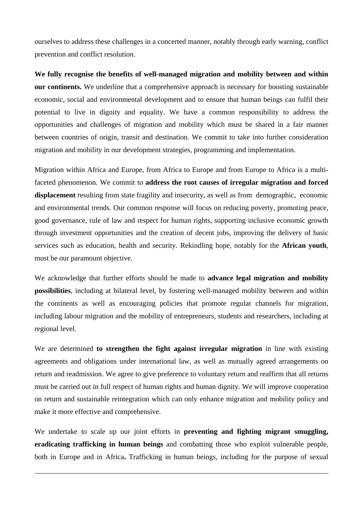ourselves to address these challenges in a concerted manner, notably through early warning, conflict prevention and conflict resolution.

**We fully recognise the benefits of well-managed migration and mobility between and within our continents.** We underline that a comprehensive approach is necessary for boosting sustainable economic, social and environmental development and to ensure that human beings can fulfil their potential to live in dignity and equality. We have a common responsibility to address the opportunities and challenges of migration and mobility which must be shared in a fair manner between countries of origin, transit and destination. We commit to take into further consideration migration and mobility in our development strategies, programming and implementation.

Migration within Africa and Europe, from Africa to Europe and from Europe to Africa is a multifaceted phenomenon. We commit to **address the root causes of irregular migration and forced displacement** resulting from state fragility and insecurity, as well as from demographic, economic and environmental trends. Our common response will focus on reducing poverty, promoting peace, good governance, rule of law and respect for human rights, supporting inclusive economic growth through investment opportunities and the creation of decent jobs, improving the delivery of basic services such as education, health and security. Rekindling hope, notably for the **African youth**, must be our paramount objective.

We acknowledge that further efforts should be made to **advance legal migration and mobility possibilities**, including at bilateral level, by fostering well-managed mobility between and within the continents as well as encouraging policies that promote regular channels for migration, including labour migration and the mobility of entrepreneurs, students and researchers, including at regional level.

We are determined **to strengthen the fight against irregular migration** in line with existing agreements and obligations under international law, as well as mutually agreed arrangements on return and readmission. We agree to give preference to voluntary return and reaffirm that all returns must be carried out in full respect of human rights and human dignity. We will improve cooperation on return and sustainable reintegration which can only enhance migration and mobility policy and make it more effective and comprehensive.

We undertake to scale up our joint efforts in **preventing and fighting migrant smuggling, eradicating trafficking in human beings** and combatting those who exploit vulnerable people, both in Europe and in Africa**.** Trafficking in human beings, including for the purpose of sexual